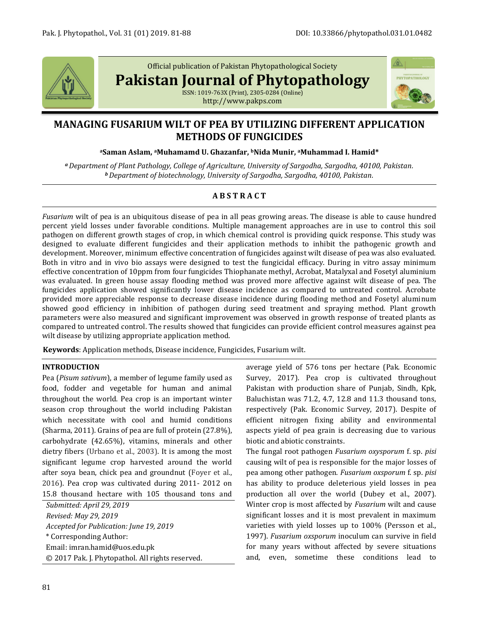

Official publication of Pakistan Phytopathological Society

**Pakistan Journal of Phytopathology**

ISSN: 1019-763X (Print), 2305-0284 (Online) http://www.pakps.com



# **MANAGING FUSARIUM WILT OF PEA BY UTILIZING DIFFERENT APPLICATION METHODS OF FUNGICIDES**

**<sup>a</sup>Saman Aslam, aMuhamamd U. Ghazanfar, bNida Munir, aMuhammad I. Hamid\***

*<sup>a</sup>Department of Plant Pathology, College of Agriculture, University of Sargodha, Sargodha, 40100, Pakistan. <sup>b</sup>Department of biotechnology, University of Sargodha, Sargodha, 40100, Pakistan.*

## **A B S T R A C T**

*Fusarium* wilt of pea is an ubiquitous disease of pea in all peas growing areas. The disease is able to cause hundred percent yield losses under favorable conditions. Multiple management approaches are in use to control this soil pathogen on different growth stages of crop, in which chemical control is providing quick response. This study was designed to evaluate different fungicides and their application methods to inhibit the pathogenic growth and development. Moreover, minimum effective concentration of fungicides against wilt disease of pea was also evaluated. Both in vitro and in vivo bio assays were designed to test the fungicidal efficacy. During in vitro assay minimum effective concentration of 10ppm from four fungicides Thiophanate methyl, Acrobat, Matalyxal and Fosetyl aluminium was evaluated. In green house assay flooding method was proved more affective against wilt disease of pea. The fungicides application showed significantly lower disease incidence as compared to untreated control. Acrobate provided more appreciable response to decrease disease incidence during flooding method and Fosetyl aluminum showed good efficiency in inhibition of pathogen during seed treatment and spraying method. Plant growth parameters were also measured and significant improvement was observed in growth response of treated plants as compared to untreated control. The results showed that fungicides can provide efficient control measures against pea wilt disease by utilizing appropriate application method.

**Keywords**: Application methods, Disease incidence, Fungicides, Fusarium wilt.

### **INTRODUCTION**

Pea (*Pisum sativum*), a member of legume family used as food, fodder and vegetable for human and animal throughout the world. Pea crop is an important winter season crop throughout the world including Pakistan which necessitate with cool and humid conditions (Sharma, 2011). Grains of pea are full of protein (27.8%), carbohydrate (42.65%), vitamins, minerals and other dietry fibers (Urbano et al., 2003). It is among the most significant legume crop harvested around the world after soya bean, chick pea and groundnut (Foyer et al., 2016). Pea crop was cultivated during 2011- 2012 on 15.8 thousand hectare with 105 thousand tons and

*Submitted: April 29, 2019 Revised: May 29, 2019 Accepted for Publication: June 19, 2019* \* Corresponding Author: Email: imran.hamid@uos.edu.pk © 2017 Pak. J. Phytopathol. All rights reserved. average yield of 576 tons per hectare (Pak. Economic Survey, 2017). Pea crop is cultivated throughout Pakistan with production share of Punjab, Sindh, Kpk, Baluchistan was 71.2, 4.7, 12.8 and 11.3 thousand tons, respectively (Pak. Economic Survey, 2017). Despite of efficient nitrogen fixing ability and environmental aspects yield of pea grain is decreasing due to various biotic and abiotic constraints.

The fungal root pathogen *Fusarium oxysporum* f. sp. *pisi* causing wilt of pea is responsible for the major losses of pea among other pathogen. *Fusarium oxsporum* f. sp. *pisi* has ability to produce deleterious yield losses in pea production all over the world (Dubey et al., 2007). Winter crop is most affected by *Fusarium* wilt and cause significant losses and it is most prevalent in maximum varieties with yield losses up to 100% (Persson et al., 1997). *Fusarium oxsporum* inoculum can survive in field for many years without affected by severe situations and, even, sometime these conditions lead to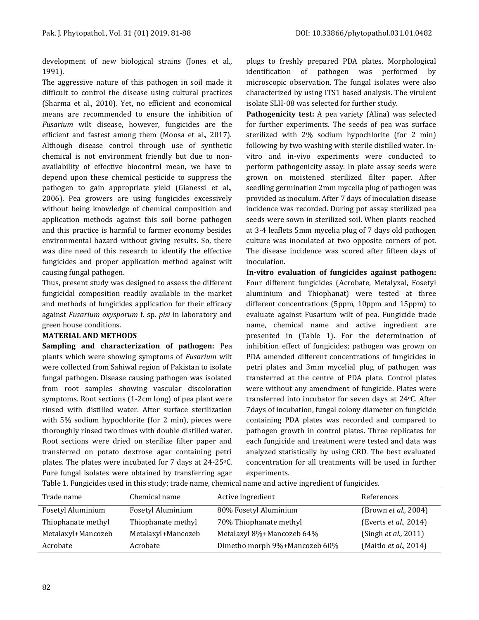development of new biological strains (Jones et al*.,*  1991).

The aggressive nature of this pathogen in soil made it difficult to control the disease using cultural practices (Sharma et al., 2010). Yet, no efficient and economical means are recommended to ensure the inhibition of *Fusarium* wilt disease, however, fungicides are the efficient and fastest among them (Moosa et al., 2017). Although disease control through use of synthetic chemical is not environment friendly but due to nonavailability of effective biocontrol mean, we have to depend upon these chemical pesticide to suppress the pathogen to gain appropriate yield (Gianessi et al., 2006). Pea growers are using fungicides excessively without being knowledge of chemical composition and application methods against this soil borne pathogen and this practice is harmful to farmer economy besides environmental hazard without giving results. So, there was dire need of this research to identify the effective fungicides and proper application method against wilt causing fungal pathogen.

Thus, present study was designed to assess the different fungicidal composition readily available in the market and methods of fungicides application for their efficacy against *Fusarium oxysporum* f. sp. *pisi* in laboratory and green house conditions.

#### **MATERIAL AND METHODS**

**Sampling and characterization of pathogen:** Pea plants which were showing symptoms of *Fusarium* wilt were collected from Sahiwal region of Pakistan to isolate fungal pathogen. Disease causing pathogen was isolated from root samples showing vascular discoloration symptoms. Root sections (1-2cm long) of pea plant were rinsed with distilled water. After surface sterilization with 5% sodium hypochlorite (for 2 min), pieces were thoroughly rinsed two times with double distilled water. Root sections were dried on sterilize filter paper and transferred on potato dextrose agar containing petri plates. The plates were incubated for 7 days at  $24-25$ °C. Pure fungal isolates were obtained by transferring agar plugs to freshly prepared PDA plates. Morphological identification of pathogen was performed by microscopic observation. The fungal isolates were also characterized by using ITS1 based analysis. The virulent isolate SLH-08 was selected for further study.

**Pathogenicity test:** A pea variety (Alina) was selected for further experiments. The seeds of pea was surface sterilized with 2% sodium hypochlorite (for 2 min) following by two washing with sterile distilled water. Invitro and in-vivo experiments were conducted to perform pathogenicity assay. In plate assay seeds were grown on moistened sterilized filter paper. After seedling germination 2mm mycelia plug of pathogen was provided as inoculum. After 7 days of inoculation disease incidence was recorded. During pot assay sterilized pea seeds were sown in sterilized soil. When plants reached at 3-4 leaflets 5mm mycelia plug of 7 days old pathogen culture was inoculated at two opposite corners of pot. The disease incidence was scored after fifteen days of inoculation.

**In-vitro evaluation of fungicides against pathogen:**  Four different fungicides (Acrobate, Metalyxal, Fosetyl aluminium and Thiophanat) were tested at three different concentrations (5ppm, 10ppm and 15ppm) to evaluate against Fusarium wilt of pea. Fungicide trade name, chemical name and active ingredient are presented in (Table 1). For the determination of inhibition effect of fungicides; pathogen was grown on PDA amended different concentrations of fungicides in petri plates and 3mm mycelial plug of pathogen was transferred at the centre of PDA plate. Control plates were without any amendment of fungicide. Plates were transferred into incubator for seven days at 24oC. After 7days of incubation, fungal colony diameter on fungicide containing PDA plates was recorded and compared to pathogen growth in control plates. Three replicates for each fungicide and treatment were tested and data was analyzed statistically by using CRD. The best evaluated concentration for all treatments will be used in further experiments.

| Trade name         | Chemical name      | Active ingredient             | References               |
|--------------------|--------------------|-------------------------------|--------------------------|
| Fosetyl Aluminium  | Fosetyl Aluminium  | 80% Fosetyl Aluminium         | (Brown et al., 2004)     |
| Thiophanate methyl | Thiophanate methyl | 70% Thiophanate methyl        | (Everts $et al., 2014$ ) |
| Metalaxyl+Mancozeb | Metalaxyl+Mancozeb | Metalaxyl 8%+Mancozeb 64%     | (Singh et al., 2011)     |
| Acrobate           | Acrobate           | Dimetho morph 9%+Mancozeb 60% | (Maitlo et al., 2014)    |

Table 1. Fungicides used in this study; trade name, chemical name and active ingredient of fungicides.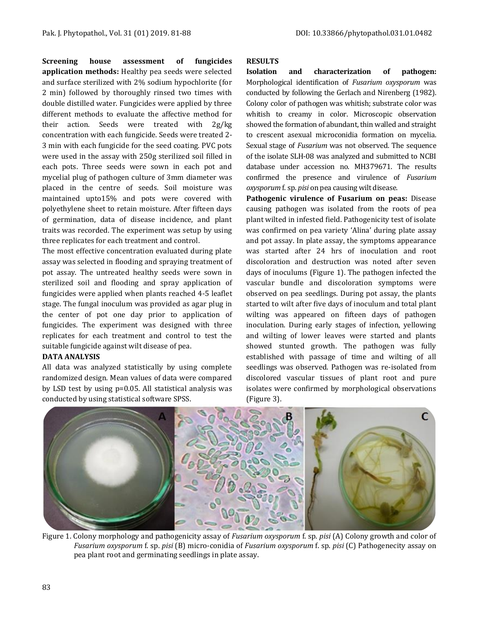**Screening house assessment of fungicides application methods:** Healthy pea seeds were selected and surface sterilized with 2% sodium hypochlorite (for 2 min) followed by thoroughly rinsed two times with double distilled water. Fungicides were applied by three different methods to evaluate the affective method for their action. Seeds were treated with 2g/kg concentration with each fungicide. Seeds were treated 2- 3 min with each fungicide for the seed coating. PVC pots were used in the assay with 250g sterilized soil filled in each pots. Three seeds were sown in each pot and mycelial plug of pathogen culture of 3mm diameter was placed in the centre of seeds. Soil moisture was maintained upto15% and pots were covered with polyethylene sheet to retain moisture. After fifteen days of germination, data of disease incidence, and plant traits was recorded. The experiment was setup by using three replicates for each treatment and control.

The most effective concentration evaluated during plate assay was selected in flooding and spraying treatment of pot assay. The untreated healthy seeds were sown in sterilized soil and flooding and spray application of fungicides were applied when plants reached 4-5 leaflet stage. The fungal inoculum was provided as agar plug in the center of pot one day prior to application of fungicides. The experiment was designed with three replicates for each treatment and control to test the suitable fungicide against wilt disease of pea.

#### **DATA ANALYSIS**

All data was analyzed statistically by using complete randomized design. Mean values of data were compared by LSD test by using p=0.05. All statistical analysis was conducted by using statistical software SPSS.

#### **RESULTS**

**Isolation and characterization of pathogen:**  Morphological identification of *Fusarium oxysporum* was conducted by following the Gerlach and Nirenberg (1982). Colony color of pathogen was whitish; substrate color was whitish to creamy in color. Microscopic observation showed the formation of abundant, thin walled and straight to crescent asexual microconidia formation on mycelia. Sexual stage of *Fusarium* was not observed. The sequence of the isolate SLH-08 was analyzed and submitted to NCBI database under accession no. MH379671. The results confirmed the presence and virulence of *Fusarium oxysporum* f. sp. *pisi* on pea causing wilt disease.

**Pathogenic virulence of Fusarium on peas:** Disease causing pathogen was isolated from the roots of pea plant wilted in infested field. Pathogenicity test of isolate was confirmed on pea variety 'Alina' during plate assay and pot assay. In plate assay, the symptoms appearance was started after 24 hrs of inoculation and root discoloration and destruction was noted after seven days of inoculums (Figure 1). The pathogen infected the vascular bundle and discoloration symptoms were observed on pea seedlings. During pot assay, the plants started to wilt after five days of inoculum and total plant wilting was appeared on fifteen days of pathogen inoculation. During early stages of infection, yellowing and wilting of lower leaves were started and plants showed stunted growth. The pathogen was fully established with passage of time and wilting of all seedlings was observed. Pathogen was re-isolated from discolored vascular tissues of plant root and pure isolates were confirmed by morphological observations (Figure 3).



Figure 1. Colony morphology and pathogenicity assay of *Fusarium oxysporum* f. sp. *pisi* (A) Colony growth and color of *Fusarium oxysporum* f. sp. *pisi* (B) micro-conidia of *Fusarium oxysporum* f. sp. *pisi* (C) Pathogenecity assay on pea plant root and germinating seedlings in plate assay.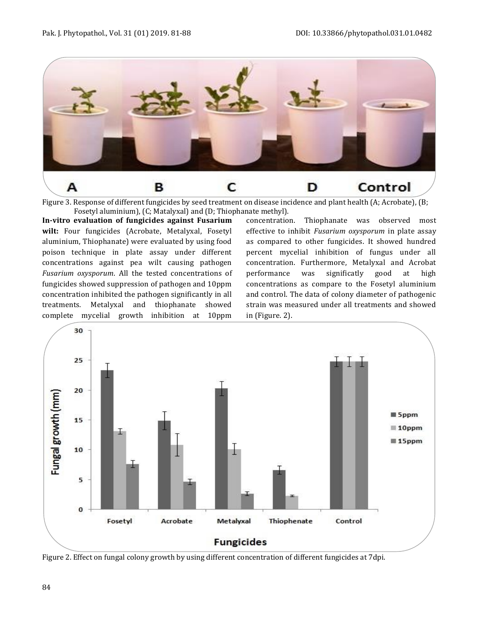

Figure 3. Response of different fungicides by seed treatment on disease incidence and plant health (A; Acrobate), (B; Fosetyl aluminium), (C; Matalyxal) and (D; Thiophanate methyl).

**In-vitro evaluation of fungicides against Fusarium wilt:** Four fungicides (Acrobate, Metalyxal, Fosetyl aluminium, Thiophanate) were evaluated by using food poison technique in plate assay under different concentrations against pea wilt causing pathogen *Fusarium oxysporum*. All the tested concentrations of fungicides showed suppression of pathogen and 10ppm concentration inhibited the pathogen significantly in all treatments. Metalyxal and thiophanate showed complete mycelial growth inhibition at 10ppm

concentration. Thiophanate was observed most effective to inhibit *Fusarium oxysporum* in plate assay as compared to other fungicides. It showed hundred percent mycelial inhibition of fungus under all concentration. Furthermore, Metalyxal and Acrobat performance was significatly good at high concentrations as compare to the Fosetyl aluminium and control. The data of colony diameter of pathogenic strain was measured under all treatments and showed in (Figure. 2).



Figure 2. Effect on fungal colony growth by using different concentration of different fungicides at 7dpi.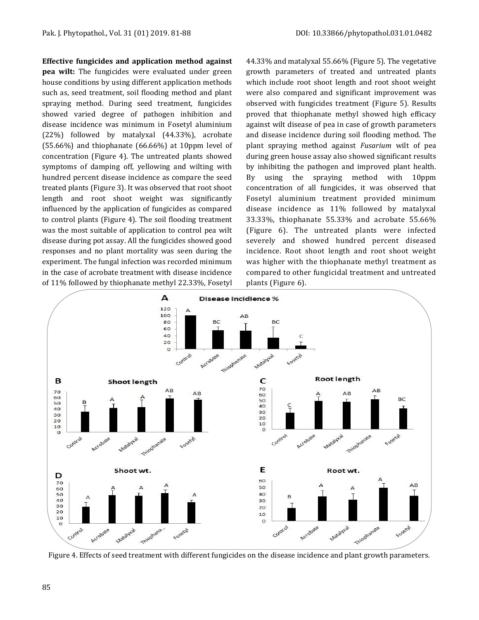**Effective fungicides and application method against** 

**pea wilt:** The fungicides were evaluated under green house conditions by using different application methods such as, seed treatment, soil flooding method and plant spraying method. During seed treatment, fungicides showed varied degree of pathogen inhibition and disease incidence was minimum in Fosetyl aluminium (22%) followed by matalyxal (44.33%), acrobate (55.66%) and thiophanate (66.66%) at 10ppm level of concentration (Figure 4). The untreated plants showed symptoms of damping off, yellowing and wilting with hundred percent disease incidence as compare the seed treated plants (Figure 3). It was observed that root shoot length and root shoot weight was significantly influenced by the application of fungicides as compared to control plants (Figure 4). The soil flooding treatment was the most suitable of application to control pea wilt disease during pot assay. All the fungicides showed good responses and no plant mortality was seen during the experiment. The fungal infection was recorded minimum in the case of acrobate treatment with disease incidence of 11% followed by thiophanate methyl 22.33%, Fosetyl

44.33% and matalyxal 55.66% (Figure 5). The vegetative growth parameters of treated and untreated plants which include root shoot length and root shoot weight were also compared and significant improvement was observed with fungicides treatment (Figure 5). Results proved that thiophanate methyl showed high efficacy against wilt disease of pea in case of growth parameters and disease incidence during soil flooding method. The plant spraying method against *Fusarium* wilt of pea during green house assay also showed significant results by inhibiting the pathogen and improved plant health. By using the spraying method with 10ppm concentration of all fungicides, it was observed that Fosetyl aluminium treatment provided minimum disease incidence as 11% followed by matalyxal 33.33%, thiophanate 55.33% and acrobate 55.66% (Figure 6). The untreated plants were infected severely and showed hundred percent diseased incidence. Root shoot length and root shoot weight was higher with the thiophanate methyl treatment as compared to other fungicidal treatment and untreated plants (Figure 6).



Figure 4. Effects of seed treatment with different fungicides on the disease incidence and plant growth parameters.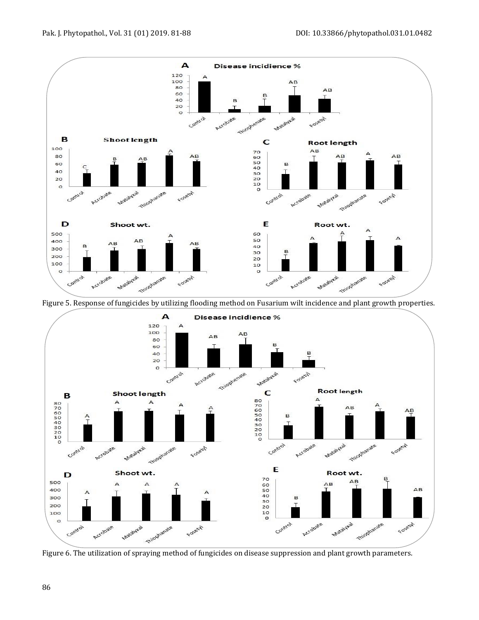

Figure 5. Response of fungicides by utilizing flooding method on Fusarium wilt incidence and plant growth properties.



Figure 6. The utilization of spraying method of fungicides on disease suppression and plant growth parameters.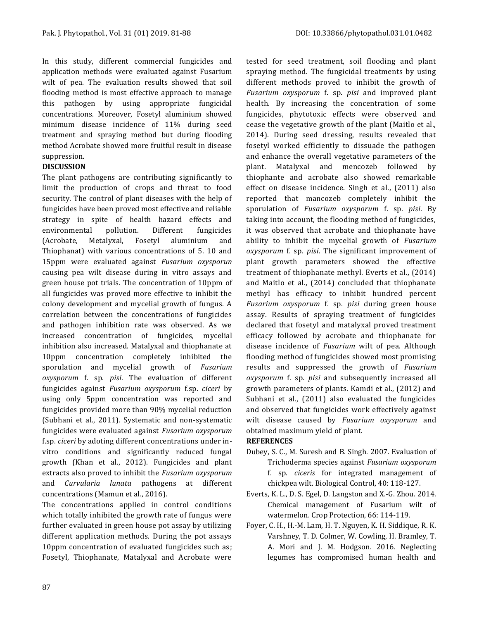In this study, different commercial fungicides and application methods were evaluated against Fusarium wilt of pea. The evaluation results showed that soil flooding method is most effective approach to manage this pathogen by using appropriate fungicidal concentrations. Moreover, Fosetyl aluminium showed minimum disease incidence of 11% during seed treatment and spraying method but during flooding method Acrobate showed more fruitful result in disease suppression.

#### **DISCUSSION**

The plant pathogens are contributing significantly to limit the production of crops and threat to food security. The control of plant diseases with the help of fungicides have been proved most effective and reliable strategy in spite of health hazard effects and environmental pollution. Different fungicides (Acrobate, Metalyxal, Fosetyl aluminium and Thiophanat) with various concentrations of 5. 10 and 15ppm were evaluated against *Fusarium oxysporun* causing pea wilt disease during in vitro assays and green house pot trials. The concentration of 10ppm of all fungicides was proved more effective to inhibit the colony development and mycelial growth of fungus. A correlation between the concentrations of fungicides and pathogen inhibition rate was observed. As we increased concentration of fungicides, mycelial inhibition also increased. Matalyxal and thiophanate at 10ppm concentration completely inhibited the sporulation and mycelial growth of *Fusarium oxysporum* f. sp. *pisi*. The evaluation of different fungicides against *Fusarium oxysporum* f.sp. *ciceri* by using only 5ppm concentration was reported and fungicides provided more than 90% mycelial reduction (Subhani et al., 2011). Systematic and non-systematic fungicides were evaluated against *Fusarium oxysporum* f.sp. *ciceri* by adoting different concentrations under invitro conditions and significantly reduced fungal growth (Khan et al., 2012). Fungicides and plant extracts also proved to inhibit the *Fusarium oxysporum* and *Curvularia lunata* pathogens at different concentrations (Mamun et al., 2016).

The concentrations applied in control conditions which totally inhibited the growth rate of fungus were further evaluated in green house pot assay by utilizing different application methods. During the pot assays 10ppm concentration of evaluated fungicides such as; Fosetyl, Thiophanate, Matalyxal and Acrobate were

tested for seed treatment, soil flooding and plant spraying method. The fungicidal treatments by using different methods proved to inhibit the growth of *Fusarium oxysporum* f. sp. *pisi* and improved plant health. By increasing the concentration of some fungicides, phytotoxic effects were observed and cease the vegetative growth of the plant (Maitlo et al., 2014). During seed dressing, results revealed that fosetyl worked efficiently to dissuade the pathogen and enhance the overall vegetative parameters of the plant. Matalyxal and mencozeb followed by thiophante and acrobate also showed remarkable effect on disease incidence. Singh et al., (2011) also reported that mancozeb completely inhibit the sporulation of *Fusarium oxysporum* f. sp. *pisi*. By taking into account, the flooding method of fungicides, it was observed that acrobate and thiophanate have ability to inhibit the mycelial growth of *Fusarium oxysporum* f. sp. *pisi*. The significant improvement of plant growth parameters showed the effective treatment of thiophanate methyl. Everts et al., (2014) and Maitlo et al., (2014) concluded that thiophanate methyl has efficacy to inhibit hundred percent *Fusarium oxysporum* f. sp. *pisi* during green house assay. Results of spraying treatment of fungicides declared that fosetyl and matalyxal proved treatment efficacy followed by acrobate and thiophanate for disease incidence of *Fusarium* wilt of pea. Although flooding method of fungicides showed most promising results and suppressed the growth of *Fusarium oxysporum* f. sp. *pisi* and subsequently increased all growth parameters of plants. Kamdi et al., (2012) and Subhani et al., (2011) also evaluated the fungicides and observed that fungicides work effectively against wilt disease caused by *Fusarium oxysporum* and obtained maximum yield of plant.

#### **REFERENCES**

- Dubey, S. C., M. Suresh and B. Singh. 2007. Evaluation of Trichoderma species against *Fusarium oxysporum* f. sp. *ciceris* for integrated management of chickpea wilt. Biological Control, 40: 118-127.
- Everts, K. L., D. S. Egel, D. Langston and X.-G. Zhou. 2014. Chemical management of Fusarium wilt of watermelon. Crop Protection, 66: 114-119.
- Foyer, C. H., H.-M. Lam, H. T. Nguyen, K. H. Siddique, R. K. Varshney, T. D. Colmer, W. Cowling, H. Bramley, T. A. Mori and J. M. Hodgson. 2016. Neglecting legumes has compromised human health and